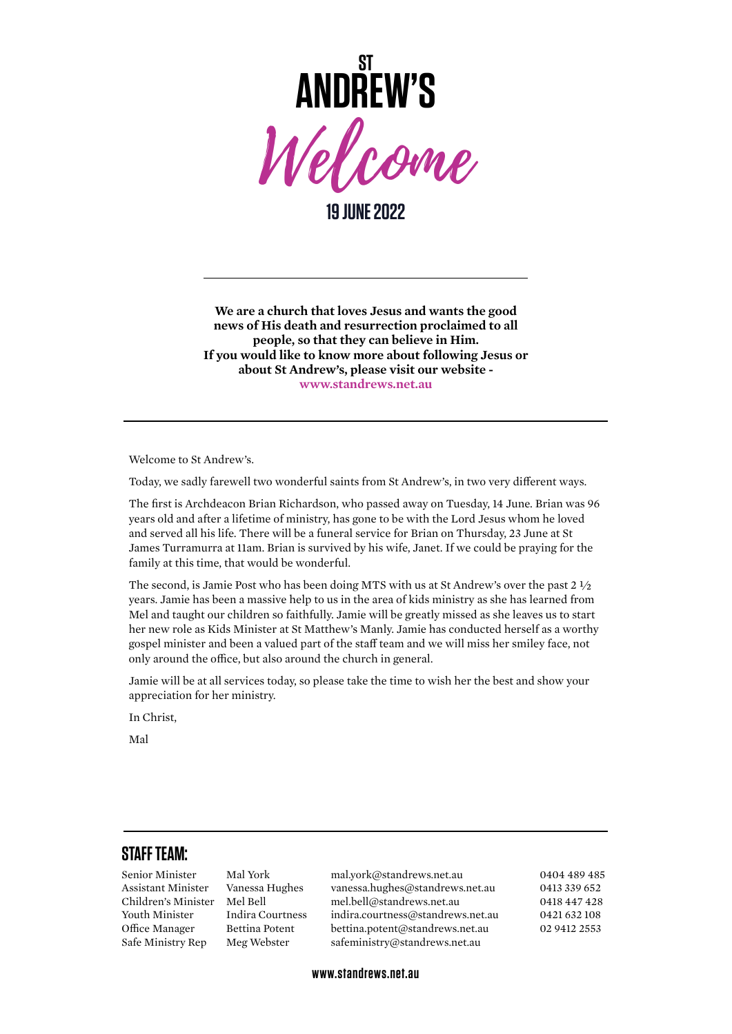

**19 JUNE 2022**

**We are a church that loves Jesus and wants the good news of His death and resurrection proclaimed to all people, so that they can believe in Him. If you would like to know more about following Jesus or about St Andrew's, please visit our website [www.standrews.net.au](http://www.standrews.net.au)**

Welcome to St Andrew's.

Today, we sadly farewell two wonderful saints from St Andrew's, in two very different ways.

The first is Archdeacon Brian Richardson, who passed away on Tuesday, 14 June. Brian was 96 years old and after a lifetime of ministry, has gone to be with the Lord Jesus whom he loved and served all his life. There will be a funeral service for Brian on Thursday, 23 June at St James Turramurra at 11am. Brian is survived by his wife, Janet. If we could be praying for the family at this time, that would be wonderful.

The second, is Jamie Post who has been doing MTS with us at St Andrew's over the past  $2\frac{1}{2}$ years. Jamie has been a massive help to us in the area of kids ministry as she has learned from Mel and taught our children so faithfully. Jamie will be greatly missed as she leaves us to start her new role as Kids Minister at St Matthew's Manly. Jamie has conducted herself as a worthy gospel minister and been a valued part of the staff team and we will miss her smiley face, not only around the office, but also around the church in general.

Jamie will be at all services today, so please take the time to wish her the best and show your appreciation for her ministry.

In Christ,

Mal

## **STAFF TEAM:**

Senior Minister Mal York [mal.york@standrews.net.au](mailto:mal.york@standrews.net.au) 0404 489 485 Assistant Minister Vanessa Hughes [vanessa.hughes@standrews.net.au](mailto:vanessa.hughes@standrews.net.au) 0413 339 652 Children's Minister Mel Bell [mel.bell@standrews.net.au](mailto:mel.bell@standrews.net.au) 0418 447 428 Youth Minister Indira Courtness [indira.courtness@standrews.net.au](mailto:indira.courtness@standrews.net.au) 0421 632 108 Office Manager Bettina Potent bettina.potent@standrews.net.au 02 9412 2553 Safe Ministry Rep Meg Webster [safeministry@standrews.net.au](mailto:safeministry@standrews.net.au)

**www.standrews.net.au**